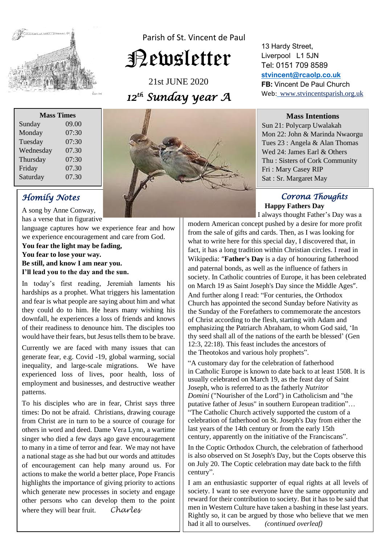

Parish of St. Vincent de Paul

# Newsletter

21st JUNE 2020 *12th Sunday year A* 

13 Hardy Street, Liverpool L1 5JN Tel: 0151 709 8589 **[stvincent@rcaolp.co.uk](mailto:stvincent@rcaolp.co.uk) FB:** Vincent De Paul Church Web: www.stvincentsparish.org.uk

#### **Mass Intentions**

Sun 21: Polycarp Uwalakah Mon 22: John & Marinda Nwaorgu Tues 23 : Angela & Alan Thomas Wed 24: James Earl & Others Thu : Sisters of Cork Community Fri : Mary Casey RIP Sat : Sr. Margaret May

### *Corona Thoughts*  **Happy Fathers Day**

I always thought Father's Day was a modern American concept pushed by a desire for more profit from the sale of gifts and cards. Then, as I was looking for what to write here for this special day, I discovered that, in fact, it has a long tradition within Christian circles. I read in Wikipedia: "**Father's Day** is a day of honouring fatherhood and paternal bonds, as well as the influence of fathers in society. In Catholic countries of Europe, it has been celebrated on March 19 as [Saint Joseph's Day](https://en.wikipedia.org/wiki/Saint_Joseph%27s_Day) since the [Middle Ages](https://en.wikipedia.org/wiki/Middle_Ages)". And further along I read: "For centuries, the [Orthodox](https://en.wikipedia.org/wiki/Orthodox_Church)  [Church](https://en.wikipedia.org/wiki/Orthodox_Church) has appointed the second Sunday before Nativity as the [Sunday of the Forefathers](https://en.wikipedia.org/wiki/Nativity_Fast#Sunday_of_the_Forefathers) to commemorate the ancestors of [Christ](https://en.wikipedia.org/wiki/Christ) according to the flesh, starting with [Adam](https://en.wikipedia.org/wiki/Adam) and emphasizing the Patriarch [Abraham,](https://en.wikipedia.org/wiki/Abraham) to whom God said, 'In thy seed shall all of the nations of the earth be blessed' (Gen 12:3, 22:18). This feast includes the ancestors of the [Theotokos](https://en.wikipedia.org/wiki/Mary,_mother_of_Jesus) and various holy prophets".

"A customary day for the celebration of fatherhood in [Catholic](https://en.wikipedia.org/wiki/Catholic) [Europe](https://en.wikipedia.org/wiki/Europe) is known to date back to at least 1508. It is usually celebrated on [March 19,](https://en.wikipedia.org/wiki/March_19) as the feast day of Saint Joseph, who is referred to as the fatherly *Nutritor Domini* ("Nourisher of the Lord") in Catholicism and "the putative father of [Jesus"](https://en.wikipedia.org/wiki/Jesus) in southern European tradition"… "The [Catholic Church](https://en.wikipedia.org/wiki/Catholic_Church) actively supported the custom of a celebration of fatherhood on St. Joseph's Day from either the last years of the [14th century](https://en.wikipedia.org/wiki/14th_century) or from the early [15th](https://en.wikipedia.org/wiki/15th_century)  [century,](https://en.wikipedia.org/wiki/15th_century) apparently on the initiative of the [Franciscans"](https://en.wikipedia.org/wiki/Franciscans).

In the [Coptic Orthodox Church,](https://en.wikipedia.org/wiki/Coptic_Orthodox_Church_of_Alexandria) the celebration of fatherhood is also observed on St Joseph's Day, but the Copts observe this on July 20. The Coptic celebration may date back to the fifth century".

I am an enthusiastic supporter of equal rights at all levels of society. I want to see everyone have the same opportunity and reward for their contribution to society. But it has to be said that men in Western Culture have taken a bashing in these last years. Rightly so, it can be argued by those who believe that we men had it all to ourselves. *(continued overleaf)*

| <b>Mass Times</b> |       |
|-------------------|-------|
| Sunday            | 09.00 |
| Monday            | 07:30 |
| Tuesday           | 07:30 |
| Wednesday         | 07.30 |
| Thursday          | 07:30 |
| Friday            | 07.30 |
| Saturday          | 07.30 |

## *Homily Notes*

A song by Anne Conway, has a verse that in figurative

language captures how we experience fear and how we experience encouragement and care from God.

#### **You fear the light may be fading, You fear to lose your way. Be still, and know I am near you. I'll lead you to the day and the sun.**

In today's first reading, Jeremiah laments his hardships as a prophet. What triggers his lamentation and fear is what people are saying about him and what they could do to him. He hears many wishing his downfall, he experiences a loss of friends and knows of their readiness to denounce him. The disciples too would have their fears, but Jesus tells them to be brave.

Currently we are faced with many issues that can generate fear, e.g. Covid -19, global warming, social inequality, and large-scale migrations. We have experienced loss of lives, poor health, loss of employment and businesses, and destructive weather patterns.

To his disciples who are in fear, Christ says three times: Do not be afraid. Christians, drawing courage from Christ are in turn to be a source of courage for others in word and deed. Dame Vera Lynn, a wartime singer who died a few days ago gave encouragement to many in a time of terror and fear. We may not have a national stage as she had but our words and attitudes of encouragement can help many around us. For actions to make the world a better place, Pope Francis highlights the importance of giving priority to actions which generate new processes in society and engage other persons who can develop them to the point where they will bear fruit. *Charles*